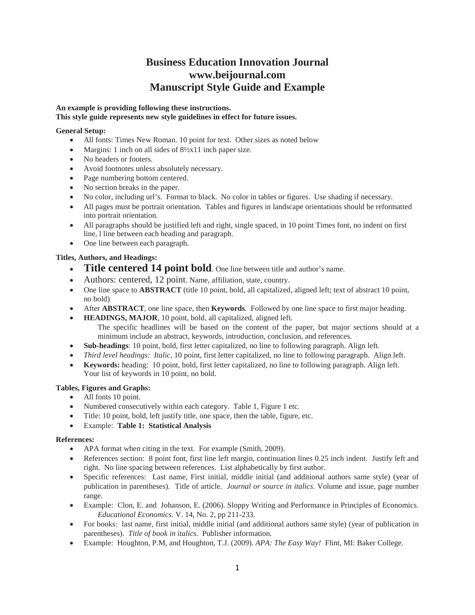# **Business Education Innovation Journal www.beijournal.com Manuscript Style Guide and Example**

# **An example is providing following these instructions. This style guide represents new style guidelines in effect for future issues.**

# **General Setup:**

- All fonts: Times New Roman. 10 point for text. Other sizes as noted below
- Margins: 1 inch on all sides of  $8\frac{1}{2}x11$  inch paper size.
- No headers or footers.
- Avoid footnotes unless absolutely necessary.
- Page numbering bottom centered.
- No section breaks in the paper.
- No color, including url's. Format to black. No color in tables or figures. Use shading if necessary.
- All pages must be portrait orientation. Tables and figures in landscape orientations should be reformatted into portrait orientation.
- All paragraphs should be justified left and right, single spaced, in 10 point Times font, no indent on first line, l line between each heading and paragraph.
- One line between each paragraph.

# **Titles, Authors, and Headings:**

- **Title centered 14 point bold**. One line between title and author's name.
- Authors: centered, 12 point. Name, affiliation, state, country.
- One line space to **ABSTRACT** (title 10 point, bold, all capitalized, aligned left; text of abstract 10 point, no bold)
- After **ABSTRACT**, one line space, then **Keywords**. Followed by one line space to first major heading.
- **HEADINGS, MAJOR**, 10 point, bold, all capitalized, aligned left.
	- The specific headlines will be based on the content of the paper, but major sections should at a minimum include an abstract, keywords, introduction, conclusion, and references.
- **Sub-headings**: 10 point, bold, first letter capitalized, no line to following paragraph. Align left.
- *Third level headings: Italic*, 10 point, first letter capitalized, no line to following paragraph. Align left.
- **Keywords:** heading: 10 point, bold, first letter capitalized, no line to following paragraph. Align left. Your list of keywords in 10 point, no bold.

# **Tables, Figures and Graphs:**

- All fonts 10 point.
- Numbered consecutively within each category. Table 1, Figure 1 etc.
- Title: 10 point, bold, left justify title, one space, then the table, figure, etc.
- Example: **Table 1: Statistical Analysis**

# **References:**

- APA format when citing in the text. For example (Smith, 2009).
- References section: 8 point font, first line left margin, continuation lines 0.25 inch indent. Justify left and right. No line spacing between references. List alphabetically by first author.
- Specific references: Last name, First initial, middle initial (and additional authors same style) (year of publication in parentheses). Title of article. *Journal or source in italics.* Volume and issue, page number range.
- Example: Clon, E. and Johanson, E. (2006). Sloppy Writing and Performance in Principles of Economics. *Educational Economics*. V. 14, No. 2, pp 211-233.
- For books: last name, first initial, middle initial (and additional authors same style) (year of publication in parentheses). *Title of book in italics.* Publisher information.
- Example: Houghton, P.M, and Houghton, T.J. (2009). *APA: The Easy Way!* Flint, MI: Baker College.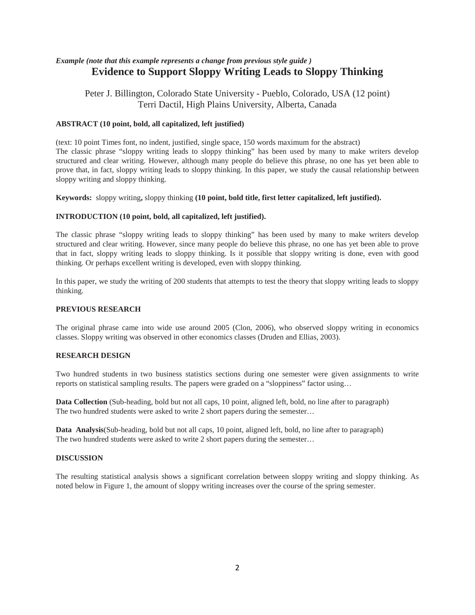# *Example (note that this example represents a change from previous style guide )* **Evidence to Support Sloppy Writing Leads to Sloppy Thinking**

Peter J. Billington, Colorado State University - Pueblo, Colorado, USA (12 point) Terri Dactil, High Plains University, Alberta, Canada

### **ABSTRACT (10 point, bold, all capitalized, left justified)**

(text: 10 point Times font, no indent, justified, single space, 150 words maximum for the abstract) The classic phrase "sloppy writing leads to sloppy thinking" has been used by many to make writers develop structured and clear writing. However, although many people do believe this phrase, no one has yet been able to prove that, in fact, sloppy writing leads to sloppy thinking. In this paper, we study the causal relationship between sloppy writing and sloppy thinking.

**Keywords:** sloppy writing**,** sloppy thinking **(10 point, bold title, first letter capitalized, left justified).** 

#### **INTRODUCTION (10 point, bold, all capitalized, left justified).**

The classic phrase "sloppy writing leads to sloppy thinking" has been used by many to make writers develop structured and clear writing. However, since many people do believe this phrase, no one has yet been able to prove that in fact, sloppy writing leads to sloppy thinking. Is it possible that sloppy writing is done, even with good thinking. Or perhaps excellent writing is developed, even with sloppy thinking.

In this paper, we study the writing of 200 students that attempts to test the theory that sloppy writing leads to sloppy thinking.

### **PREVIOUS RESEARCH**

The original phrase came into wide use around 2005 (Clon, 2006), who observed sloppy writing in economics classes. Sloppy writing was observed in other economics classes (Druden and Ellias, 2003).

#### **RESEARCH DESIGN**

Two hundred students in two business statistics sections during one semester were given assignments to write reports on statistical sampling results. The papers were graded on a "sloppiness" factor using…

**Data Collection** (Sub-heading, bold but not all caps, 10 point, aligned left, bold, no line after to paragraph) The two hundred students were asked to write 2 short papers during the semester...

**Data Analysis**(Sub-heading, bold but not all caps, 10 point, aligned left, bold, no line after to paragraph) The two hundred students were asked to write 2 short papers during the semester…

#### **DISCUSSION**

The resulting statistical analysis shows a significant correlation between sloppy writing and sloppy thinking. As noted below in Figure 1, the amount of sloppy writing increases over the course of the spring semester.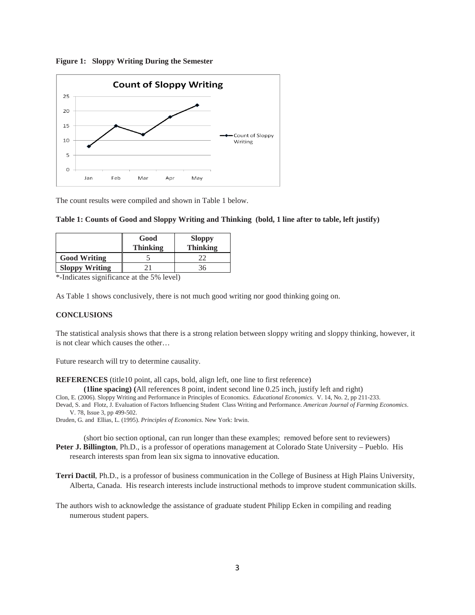



The count results were compiled and shown in Table 1 below.

| Good            | <b>Sloppy</b>   |  |
|-----------------|-----------------|--|
| <b>Thinking</b> | <b>Thinking</b> |  |
|                 |                 |  |

| Table 1: Counts of Good and Sloppy Writing and Thinking (bold, 1 line after to table, left justify) |  |  |  |  |  |  |  |  |  |  |
|-----------------------------------------------------------------------------------------------------|--|--|--|--|--|--|--|--|--|--|
|-----------------------------------------------------------------------------------------------------|--|--|--|--|--|--|--|--|--|--|

\*-Indicates significance at the 5% level)

**Sloppy Writing** 21 36

As Table 1 shows conclusively, there is not much good writing nor good thinking going on.

#### **CONCLUSIONS**

The statistical analysis shows that there is a strong relation between sloppy writing and sloppy thinking, however, it is not clear which causes the other…

Future research will try to determine causality.

**REFERENCES** (title10 point, all caps, bold, align left, one line to first reference)

**(1line spacing) (**All references 8 point, indent second line 0.25 inch, justify left and right)

Clon, E. (2006). Sloppy Writing and Performance in Principles of Economics. *Educational Economics*. V. 14, No. 2, pp 211-233.

Devad, S. and Flotz, J. Evaluation of Factors Influencing Student Class Writing and Performance. *American Journal of Farming Economics*. V. 78, Issue 3, pp 499-502.

Druden, G. and Ellias, L. (1995). *Principles of Economics*. New York: Irwin.

(short bio section optional, can run longer than these examples; removed before sent to reviewers) **Peter J. Billington**, Ph.D., is a professor of operations management at Colorado State University – Pueblo. His research interests span from lean six sigma to innovative education.

**Terri Dactil**, Ph.D., is a professor of business communication in the College of Business at High Plains University, Alberta, Canada. His research interests include instructional methods to improve student communication skills.

The authors wish to acknowledge the assistance of graduate student Philipp Ecken in compiling and reading numerous student papers.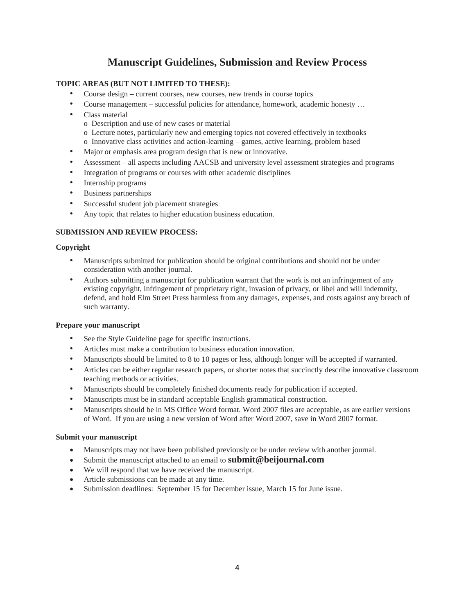# **Manuscript Guidelines, Submission and Review Process**

# **TOPIC AREAS (BUT NOT LIMITED TO THESE):**

- Course design current courses, new courses, new trends in course topics
- Course management successful policies for attendance, homework, academic honesty ...
- Class material
	- o Description and use of new cases or material
	- o Lecture notes, particularly new and emerging topics not covered effectively in textbooks
	- o Innovative class activities and action-learning games, active learning, problem based
- Major or emphasis area program design that is new or innovative.
- Assessment all aspects including AACSB and university level assessment strategies and programs
- Integration of programs or courses with other academic disciplines
- Internship programs
- Business partnerships
- Successful student job placement strategies
- Any topic that relates to higher education business education.

### **SUBMISSION AND REVIEW PROCESS:**

### **Copyright**

- Manuscripts submitted for publication should be original contributions and should not be under consideration with another journal.
- Authors submitting a manuscript for publication warrant that the work is not an infringement of any existing copyright, infringement of proprietary right, invasion of privacy, or libel and will indemnify, defend, and hold Elm Street Press harmless from any damages, expenses, and costs against any breach of such warranty.

#### **Prepare your manuscript**

- See the Style Guideline page for specific instructions.
- Articles must make a contribution to business education innovation.
- Manuscripts should be limited to 8 to 10 pages or less, although longer will be accepted if warranted.
- Articles can be either regular research papers, or shorter notes that succinctly describe innovative classroom teaching methods or activities.
- Manuscripts should be completely finished documents ready for publication if accepted.
- Manuscripts must be in standard acceptable English grammatical construction.
- Manuscripts should be in MS Office Word format. Word 2007 files are acceptable, as are earlier versions of Word. If you are using a new version of Word after Word 2007, save in Word 2007 format.

#### **Submit your manuscript**

- Manuscripts may not have been published previously or be under review with another journal.
- Submit the manuscript attached to an email to **submit@beijournal.com**
- We will respond that we have received the manuscript.
- Article submissions can be made at any time.
- Submission deadlines: September 15 for December issue, March 15 for June issue.